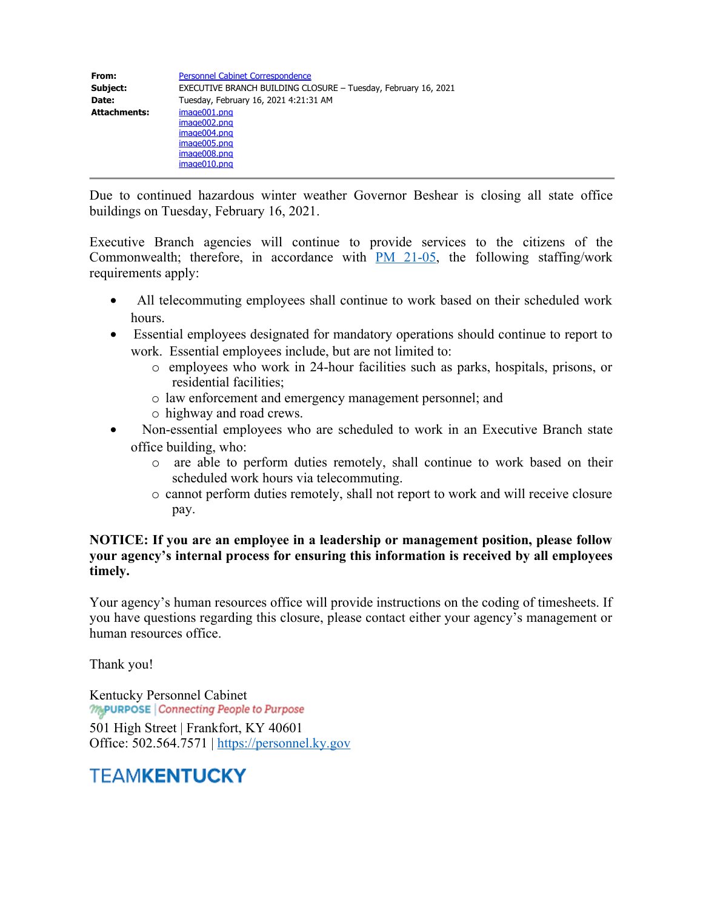| From:               | <b>Personnel Cabinet Correspondence</b>                                                      |
|---------------------|----------------------------------------------------------------------------------------------|
| Subject:            | EXECUTIVE BRANCH BUILDING CLOSURE - Tuesday, February 16, 2021                               |
| Date:               | Tuesday, February 16, 2021 4:21:31 AM                                                        |
| <b>Attachments:</b> | image001.png<br>image002.png<br>image004.png<br>image005.png<br>image008.png<br>image010.png |

Due to continued hazardous winter weather Governor Beshear is closing all state office buildings on Tuesday, February 16, 2021.

Executive Branch agencies will continue to provide services to the citizens of the Commonwealth; therefore, in accordance with  $PM$  21-05, the following staffing/work requirements apply:

- All telecommuting employees shall continue to work based on their scheduled work hours.
- · Essential employees designated for mandatory operations should continue to report to work. Essential employees include, but are not limited to:
	- o employees who work in 24-hour facilities such as parks, hospitals, prisons, or residential facilities;
	- o law enforcement and emergency management personnel; and
	- o highway and road crews.
- Non-essential employees who are scheduled to work in an Executive Branch state office building, who:
	- o are able to perform duties remotely, shall continue to work based on their scheduled work hours via telecommuting.
	- o cannot perform duties remotely, shall not report to work and will receive closure pay.

## **NOTICE: If you are an employee in a leadership or management position, please follow your agency's internal process for ensuring this information is received by all employees timely.**

Your agency's human resources office will provide instructions on the coding of timesheets. If you have questions regarding this closure, please contact either your agency's management or human resources office.

Thank you!

Kentucky Personnel Cabinet<br> *MAPURPOSE* | Connecting People to Purpose

501 High Street | Frankfort, KY 40601 Office: 502.564.7571 | [https://personnel.ky.gov](https://personnel.ky.gov/)

## **TEAMKENTUCKY**